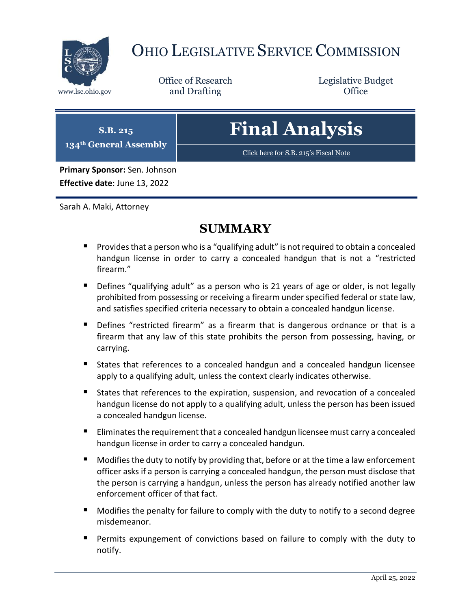

# OHIO LEGISLATIVE SERVICE COMMISSION

Office of Research www.lsc.ohio.gov **and Drafting Office** 

Legislative Budget

| $\vert$ S.B. 215<br>134 <sup>th</sup> General Assembly | <b>Final Analysis</b>                 |
|--------------------------------------------------------|---------------------------------------|
|                                                        | Click here for S.B. 215's Fiscal Note |
| Primary Sponsor: Sen. Johnson                          |                                       |
| Effective date: June 13, 2022                          |                                       |

Sarah A. Maki, Attorney

# **SUMMARY**

- **Provides that a person who is a "qualifying adult" is not required to obtain a concealed** handgun license in order to carry a concealed handgun that is not a "restricted firearm."
- **Defines "qualifying adult" as a person who is 21 years of age or older, is not legally** prohibited from possessing or receiving a firearm under specified federal or state law, and satisfies specified criteria necessary to obtain a concealed handgun license.
- **•** Defines "restricted firearm" as a firearm that is dangerous ordnance or that is a firearm that any law of this state prohibits the person from possessing, having, or carrying.
- States that references to a concealed handgun and a concealed handgun licensee apply to a qualifying adult, unless the context clearly indicates otherwise.
- States that references to the expiration, suspension, and revocation of a concealed handgun license do not apply to a qualifying adult, unless the person has been issued a concealed handgun license.
- Eliminates the requirement that a concealed handgun licensee must carry a concealed handgun license in order to carry a concealed handgun.
- **Modifies the duty to notify by providing that, before or at the time a law enforcement** officer asks if a person is carrying a concealed handgun, the person must disclose that the person is carrying a handgun, unless the person has already notified another law enforcement officer of that fact.
- Modifies the penalty for failure to comply with the duty to notify to a second degree misdemeanor.
- Permits expungement of convictions based on failure to comply with the duty to notify.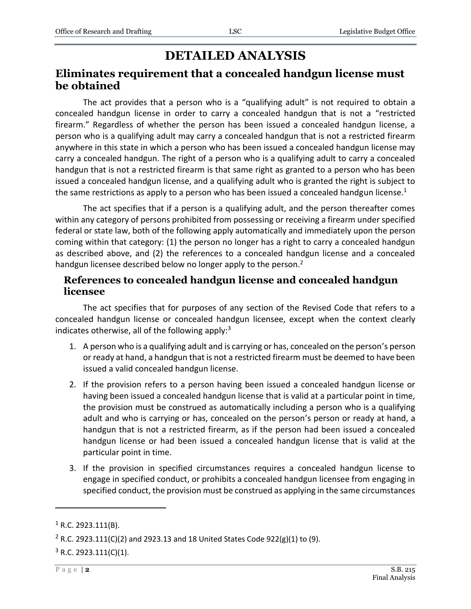# **DETAILED ANALYSIS**

## **Eliminates requirement that a concealed handgun license must be obtained**

The act provides that a person who is a "qualifying adult" is not required to obtain a concealed handgun license in order to carry a concealed handgun that is not a "restricted firearm." Regardless of whether the person has been issued a concealed handgun license, a person who is a qualifying adult may carry a concealed handgun that is not a restricted firearm anywhere in this state in which a person who has been issued a concealed handgun license may carry a concealed handgun. The right of a person who is a qualifying adult to carry a concealed handgun that is not a restricted firearm is that same right as granted to a person who has been issued a concealed handgun license, and a qualifying adult who is granted the right is subject to the same restrictions as apply to a person who has been issued a concealed handgun license.<sup>1</sup>

The act specifies that if a person is a qualifying adult, and the person thereafter comes within any category of persons prohibited from possessing or receiving a firearm under specified federal or state law, both of the following apply automatically and immediately upon the person coming within that category: (1) the person no longer has a right to carry a concealed handgun as described above, and (2) the references to a concealed handgun license and a concealed handgun licensee described below no longer apply to the person.<sup>2</sup>

#### **References to concealed handgun license and concealed handgun licensee**

The act specifies that for purposes of any section of the Revised Code that refers to a concealed handgun license or concealed handgun licensee, except when the context clearly indicates otherwise, all of the following apply: $3$ 

- 1. A person who is a qualifying adult and is carrying or has, concealed on the person's person or ready at hand, a handgun that is not a restricted firearm must be deemed to have been issued a valid concealed handgun license.
- 2. If the provision refers to a person having been issued a concealed handgun license or having been issued a concealed handgun license that is valid at a particular point in time, the provision must be construed as automatically including a person who is a qualifying adult and who is carrying or has, concealed on the person's person or ready at hand, a handgun that is not a restricted firearm, as if the person had been issued a concealed handgun license or had been issued a concealed handgun license that is valid at the particular point in time.
- 3. If the provision in specified circumstances requires a concealed handgun license to engage in specified conduct, or prohibits a concealed handgun licensee from engaging in specified conduct, the provision must be construed as applying in the same circumstances

 $1$  R.C. 2923.111(B).

<sup>&</sup>lt;sup>2</sup> R.C. 2923.111(C)(2) and 2923.13 and 18 United States Code 922(g)(1) to (9).

 $3$  R.C. 2923.111(C)(1).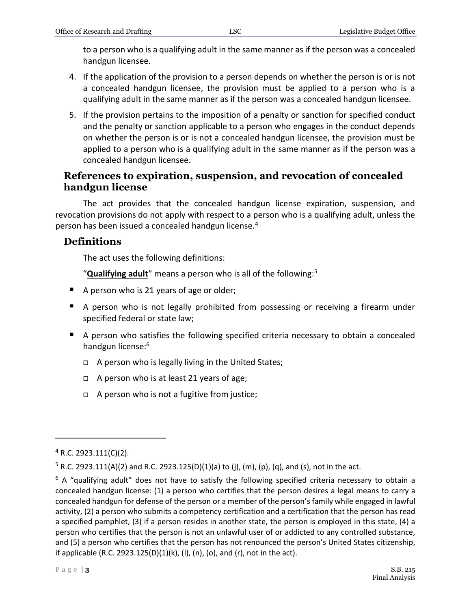to a person who is a qualifying adult in the same manner as if the person was a concealed handgun licensee.

- 4. If the application of the provision to a person depends on whether the person is or is not a concealed handgun licensee, the provision must be applied to a person who is a qualifying adult in the same manner as if the person was a concealed handgun licensee.
- 5. If the provision pertains to the imposition of a penalty or sanction for specified conduct and the penalty or sanction applicable to a person who engages in the conduct depends on whether the person is or is not a concealed handgun licensee, the provision must be applied to a person who is a qualifying adult in the same manner as if the person was a concealed handgun licensee.

#### **References to expiration, suspension, and revocation of concealed handgun license**

The act provides that the concealed handgun license expiration, suspension, and revocation provisions do not apply with respect to a person who is a qualifying adult, unless the person has been issued a concealed handgun license.<sup>4</sup>

#### **Definitions**

The act uses the following definitions:

"**Qualifying adult**" means a person who is all of the following:<sup>5</sup>

- A person who is 21 years of age or older;
- A person who is not legally prohibited from possessing or receiving a firearm under specified federal or state law;
- A person who satisfies the following specified criteria necessary to obtain a concealed handgun license:<sup>6</sup>
	- □ A person who is legally living in the United States;
	- □ A person who is at least 21 years of age;
	- □ A person who is not a fugitive from justice;

 $4$  R.C. 2923.111(C)(2).

 $5$  R.C. 2923.111(A)(2) and R.C. 2923.125(D)(1)(a) to (j), (m), (p), (q), and (s), not in the act.

 $6$  A "qualifying adult" does not have to satisfy the following specified criteria necessary to obtain a concealed handgun license: (1) a person who certifies that the person desires a legal means to carry a concealed handgun for defense of the person or a member of the person's family while engaged in lawful activity, (2) a person who submits a competency certification and a certification that the person has read a specified pamphlet, (3) if a person resides in another state, the person is employed in this state, (4) a person who certifies that the person is not an unlawful user of or addicted to any controlled substance, and (5) a person who certifies that the person has not renounced the person's United States citizenship, if applicable (R.C. 2923.125(D)(1)(k), (I), (n), (o), and (r), not in the act).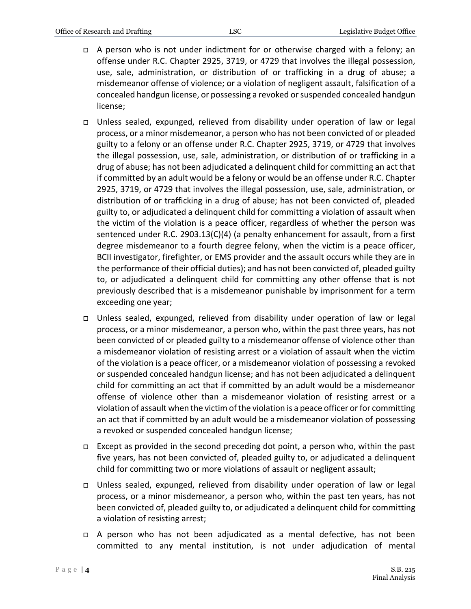- $\Box$  A person who is not under indictment for or otherwise charged with a felony; an offense under R.C. Chapter 2925, 3719, or 4729 that involves the illegal possession, use, sale, administration, or distribution of or trafficking in a drug of abuse; a misdemeanor offense of violence; or a violation of negligent assault, falsification of a concealed handgun license, or possessing a revoked or suspended concealed handgun license;
- Unless sealed, expunged, relieved from disability under operation of law or legal process, or a minor misdemeanor, a person who has not been convicted of or pleaded guilty to a felony or an offense under R.C. Chapter 2925, 3719, or 4729 that involves the illegal possession, use, sale, administration, or distribution of or trafficking in a drug of abuse; has not been adjudicated a delinquent child for committing an act that if committed by an adult would be a felony or would be an offense under R.C. Chapter 2925, 3719, or 4729 that involves the illegal possession, use, sale, administration, or distribution of or trafficking in a drug of abuse; has not been convicted of, pleaded guilty to, or adjudicated a delinquent child for committing a violation of assault when the victim of the violation is a peace officer, regardless of whether the person was sentenced under R.C. 2903.13(C)(4) (a penalty enhancement for assault, from a first degree misdemeanor to a fourth degree felony, when the victim is a peace officer, BCII investigator, firefighter, or EMS provider and the assault occurs while they are in the performance of their official duties); and has not been convicted of, pleaded guilty to, or adjudicated a delinquent child for committing any other offense that is not previously described that is a misdemeanor punishable by imprisonment for a term exceeding one year;
- Unless sealed, expunged, relieved from disability under operation of law or legal process, or a minor misdemeanor, a person who, within the past three years, has not been convicted of or pleaded guilty to a misdemeanor offense of violence other than a misdemeanor violation of resisting arrest or a violation of assault when the victim of the violation is a peace officer, or a misdemeanor violation of possessing a revoked or suspended concealed handgun license; and has not been adjudicated a delinquent child for committing an act that if committed by an adult would be a misdemeanor offense of violence other than a misdemeanor violation of resisting arrest or a violation of assault when the victim of the violation is a peace officer or for committing an act that if committed by an adult would be a misdemeanor violation of possessing a revoked or suspended concealed handgun license;
- Except as provided in the second preceding dot point, a person who, within the past five years, has not been convicted of, pleaded guilty to, or adjudicated a delinquent child for committing two or more violations of assault or negligent assault;
- Unless sealed, expunged, relieved from disability under operation of law or legal process, or a minor misdemeanor, a person who, within the past ten years, has not been convicted of, pleaded guilty to, or adjudicated a delinquent child for committing a violation of resisting arrest;
- A person who has not been adjudicated as a mental defective, has not been committed to any mental institution, is not under adjudication of mental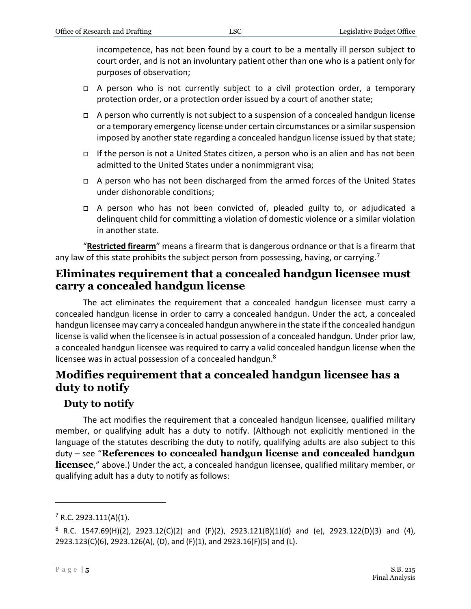incompetence, has not been found by a court to be a mentally ill person subject to court order, and is not an involuntary patient other than one who is a patient only for purposes of observation;

- □ A person who is not currently subject to a civil protection order, a temporary protection order, or a protection order issued by a court of another state;
- $\Box$  A person who currently is not subject to a suspension of a concealed handgun license or a temporary emergency license under certain circumstances or a similar suspension imposed by another state regarding a concealed handgun license issued by that state;
- If the person is not a United States citizen, a person who is an alien and has not been admitted to the United States under a nonimmigrant visa;
- $\Box$  A person who has not been discharged from the armed forces of the United States under dishonorable conditions;
- A person who has not been convicted of, pleaded guilty to, or adjudicated a delinquent child for committing a violation of domestic violence or a similar violation in another state.

"**Restricted firearm**" means a firearm that is dangerous ordnance or that is a firearm that any law of this state prohibits the subject person from possessing, having, or carrying.<sup>7</sup>

### **Eliminates requirement that a concealed handgun licensee must carry a concealed handgun license**

The act eliminates the requirement that a concealed handgun licensee must carry a concealed handgun license in order to carry a concealed handgun. Under the act, a concealed handgun licensee may carry a concealed handgun anywhere in the state if the concealed handgun license is valid when the licensee is in actual possession of a concealed handgun. Under prior law, a concealed handgun licensee was required to carry a valid concealed handgun license when the licensee was in actual possession of a concealed handgun.<sup>8</sup>

## **Modifies requirement that a concealed handgun licensee has a duty to notify**

### **Duty to notify**

The act modifies the requirement that a concealed handgun licensee, qualified military member, or qualifying adult has a duty to notify. (Although not explicitly mentioned in the language of the statutes describing the duty to notify, qualifying adults are also subject to this duty – see "**References to concealed handgun license and concealed handgun licensee**," above.) Under the act, a concealed handgun licensee, qualified military member, or qualifying adult has a duty to notify as follows:

 $7$  R.C. 2923.111(A)(1).

 $8$  R.C. 1547.69(H)(2), 2923.12(C)(2) and (F)(2), 2923.121(B)(1)(d) and (e), 2923.122(D)(3) and (4), 2923.123(C)(6), 2923.126(A), (D), and (F)(1), and 2923.16(F)(5) and (L).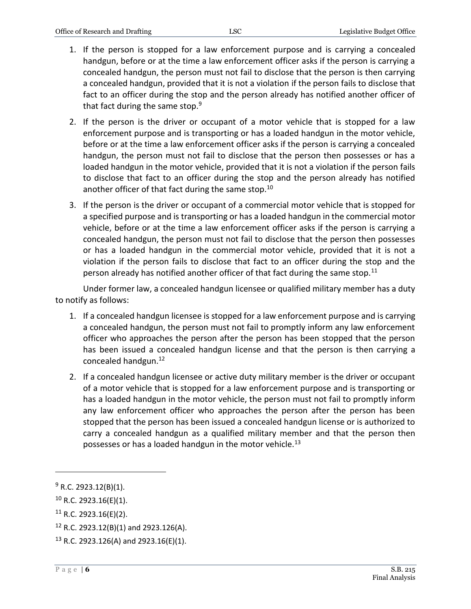- 1. If the person is stopped for a law enforcement purpose and is carrying a concealed handgun, before or at the time a law enforcement officer asks if the person is carrying a concealed handgun, the person must not fail to disclose that the person is then carrying a concealed handgun, provided that it is not a violation if the person fails to disclose that fact to an officer during the stop and the person already has notified another officer of that fact during the same stop. $9^9$
- 2. If the person is the driver or occupant of a motor vehicle that is stopped for a law enforcement purpose and is transporting or has a loaded handgun in the motor vehicle, before or at the time a law enforcement officer asks if the person is carrying a concealed handgun, the person must not fail to disclose that the person then possesses or has a loaded handgun in the motor vehicle, provided that it is not a violation if the person fails to disclose that fact to an officer during the stop and the person already has notified another officer of that fact during the same stop.<sup>10</sup>
- 3. If the person is the driver or occupant of a commercial motor vehicle that is stopped for a specified purpose and is transporting or has a loaded handgun in the commercial motor vehicle, before or at the time a law enforcement officer asks if the person is carrying a concealed handgun, the person must not fail to disclose that the person then possesses or has a loaded handgun in the commercial motor vehicle, provided that it is not a violation if the person fails to disclose that fact to an officer during the stop and the person already has notified another officer of that fact during the same stop.<sup>11</sup>

Under former law, a concealed handgun licensee or qualified military member has a duty to notify as follows:

- 1. If a concealed handgun licensee is stopped for a law enforcement purpose and is carrying a concealed handgun, the person must not fail to promptly inform any law enforcement officer who approaches the person after the person has been stopped that the person has been issued a concealed handgun license and that the person is then carrying a concealed handgun.<sup>12</sup>
- 2. If a concealed handgun licensee or active duty military member is the driver or occupant of a motor vehicle that is stopped for a law enforcement purpose and is transporting or has a loaded handgun in the motor vehicle, the person must not fail to promptly inform any law enforcement officer who approaches the person after the person has been stopped that the person has been issued a concealed handgun license or is authorized to carry a concealed handgun as a qualified military member and that the person then possesses or has a loaded handgun in the motor vehicle.<sup>13</sup>

 $9$  R.C. 2923.12(B)(1).

 $10$  R.C. 2923.16(E)(1).

 $11$  R.C. 2923.16(E)(2).

 $12$  R.C. 2923.12(B)(1) and 2923.126(A).

 $13$  R.C. 2923.126(A) and 2923.16(E)(1).